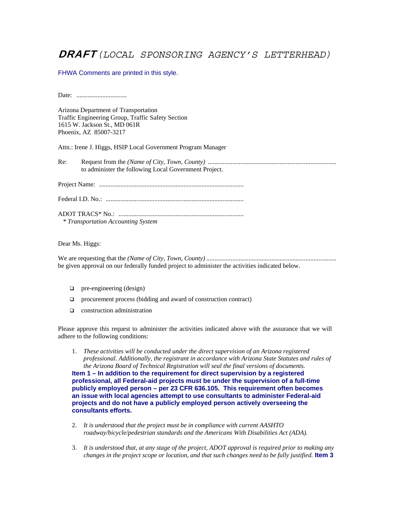## DRAFT*(LOCAL SPONSORING AGENCY'S LETTERHEAD)*

## FHWA Comments are printed in this style.

Date: ...............................

Arizona Department of Transportation Traffic Engineering Group, Traffic Safety Section 1615 W. Jackson St., MD 061R Phoenix, AZ 85007-3217

Attn.: Irene J. Higgs, HSIP Local Government Program Manager

Re: Request from the *(Name of City, Town, County)* ............................................................................... to administer the following Local Government Project.

Project Name: .........................................................................................

Federal I.D. No.: .....................................................................................

ADOT TRACS\* No.: .............................................................................  *\* Transportation Accounting System* 

Dear Ms. Higgs:

We are requesting that the *(Name of City, Town, County)* ................................................................................ be given approval on our federally funded project to administer the activities indicated below.

- $\Box$  pre-engineering (design)
- procurement process (bidding and award of construction contract)
- **Q** construction administration

Please approve this request to administer the activities indicated above with the assurance that we will adhere to the following conditions:

- 1. *These activities will be conducted under the direct supervision of an Arizona registered professional. Additionally, the registrant in accordance with Arizona State Statutes and rules of the Arizona Board of Technical Registration will seal the final versions of documents.*  **Item 1 – In addition to the requirement for direct supervision by a registered professional, all Federal-aid projects must be under the supervision of a full-time publicly employed person – per 23 CFR 636.105. This requirement often becomes an issue with local agencies attempt to use consultants to administer Federal-aid projects and do not have a publicly employed person actively overseeing the consultants efforts.**
- 2. *It is understood that the project must be in compliance with current AASHTO roadway/bicycle/pedestrian standards and the Americans With Disabilities Act (ADA).*
- 3. *It is understood that, at any stage of the project, ADOT approval is required prior to making any changes in the project scope or location, and that such changes need to be fully justified.* **Item 3**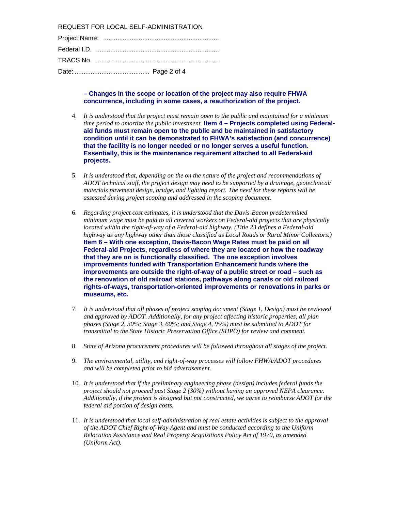REQUEST FOR LOCAL SELF-ADMINISTRATION

**– Changes in the scope or location of the project may also require FHWA concurrence, including in some cases, a reauthorization of the project.**

- 4. *It is understood that the project must remain open to the public and maintained for a minimum time period to amortize the public investment.* **Item 4 – Projects completed using Federalaid funds must remain open to the public and be maintained in satisfactory condition until it can be demonstrated to FHWA's satisfaction (and concurrence) that the facility is no longer needed or no longer serves a useful function. Essentially, this is the maintenance requirement attached to all Federal-aid projects.**
- 5. *It is understood that, depending on the on the nature of the project and recommendations of ADOT technical staff, the project design may need to be supported by a drainage, geotechnical/ materials pavement design, bridge, and lighting report. The need for these reports will be assessed during project scoping and addressed in the scoping document.*
- 6. *Regarding project cost estimates, it is understood that the Davis-Bacon predetermined minimum wage must be paid to all covered workers on Federal-aid projects that are physically located within the right-of-way of a Federal-aid highway. (Title 23 defines a Federal-aid highway as any highway other than those classified as Local Roads or Rural Minor Collectors.)* **Item 6 – With one exception, Davis-Bacon Wage Rates must be paid on all Federal-aid Projects, regardless of where they are located or how the roadway that they are on is functionally classified. The one exception involves improvements funded with Transportation Enhancement funds where the improvements are outside the right-of-way of a public street or road – such as the renovation of old railroad stations, pathways along canals or old railroad rights-of-ways, transportation-oriented improvements or renovations in parks or museums, etc.**
- 7. *It is understood that all phases of project scoping document (Stage 1, Design) must be reviewed and approved by ADOT. Additionally, for any project affecting historic properties, all plan phases (Stage 2, 30%; Stage 3, 60%; and Stage 4, 95%) must be submitted to ADOT for transmittal to the State Historic Preservation Office (SHPO) for review and comment.*
- 8. *State of Arizona procurement procedures will be followed throughout all stages of the project.*
- 9. *The environmental, utility, and right-of-way processes will follow FHWA/ADOT procedures and will be completed prior to bid advertisement.*
- 10. *It is understood that if the preliminary engineering phase (design) includes federal funds the project should not proceed past Stage 2 (30%) without having an approved NEPA clearance. Additionally, if the project is designed but not constructed, we agree to reimburse ADOT for the federal aid portion of design costs.*
- 11. *It is understood that local self-administration of real estate activities is subject to the approval of the ADOT Chief Right-of-Way Agent and must be conducted according to the Uniform Relocation Assistance and Real Property Acquisitions Policy Act of 1970, as amended (Uniform Act).*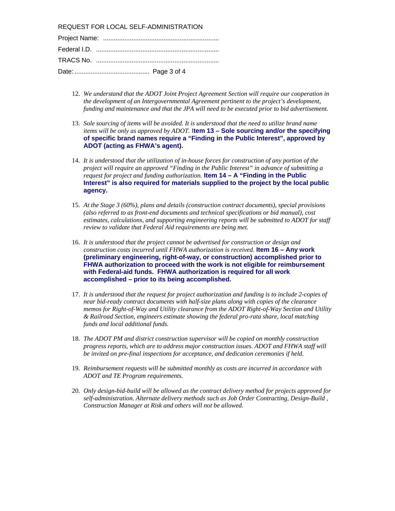REQUEST FOR LOCAL SELF-ADMINISTRATION

- 12. *We understand that the ADOT Joint Project Agreement Section will require our cooperation in the development of an Intergovernmental Agreement pertinent to the project's development, funding and maintenance and that the JPA will need to be executed prior to bid advertisement.*
- 13. *Sole sourcing of items will be avoided. It is understood that the need to utilize brand name items will be only as approved by ADOT.* I**tem 13 – Sole sourcing and/or the specifying of specific brand names require a "Finding in the Public Interest", approved by ADOT (acting as FHWA's agent).**
- 14. *It is understood that the utilization of in-house forces for construction of any portion of the project will require an approved "Finding in the Public Interest" in advance of submitting a request for project and funding authorization.* **Item 14 – A "Finding in the Public Interest" is also required for materials supplied to the project by the local public agency.**
- 15. *At the Stage 3 (60%), plans and details (construction contract documents), special provisions (also referred to as front-end documents and technical specifications or bid manual), cost estimates, calculations, and supporting engineering reports will be submitted to ADOT for staff review to validate that Federal Aid requirements are being met.*
- 16. *It is understood that the project cannot be advertised for construction or design and construction costs incurred until FHWA authorization is received.* **Item 16 – Any work (preliminary engineering, right-of-way, or construction) accomplished prior to FHWA authorization to proceed with the work is not eligible for reimbursement with Federal-aid funds. FHWA authorization is required for all work accomplished – prior to its being accomplished.**
- 17. *It is understood that the request for project authorization and funding is to include 2-copies of near bid-ready contract documents with half-size plans along with copies of the clearance memos for Right-of-Way and Utility clearance from the ADOT Right-of-Way Section and Utility & Railroad Section, engineers estimate showing the federal pro-rata share, local matching funds and local additional funds.*
- 18. *The ADOT PM and district construction supervisor will be copied on monthly construction progress reports, which are to address major construction issues. ADOT and FHWA staff will be invited on pre-final inspections for acceptance, and dedication ceremonies if held.*
- 19. *Reimbursement requests will be submitted monthly as costs are incurred in accordance with ADOT and TE Program requirements.*
- 20. *Only design-bid-build will be allowed as the contract delivery method for projects approved for self-administration. Alternate delivery methods such as Job Order Contracting, Design-Build , Construction Manager at Risk and others will not be allowed.*